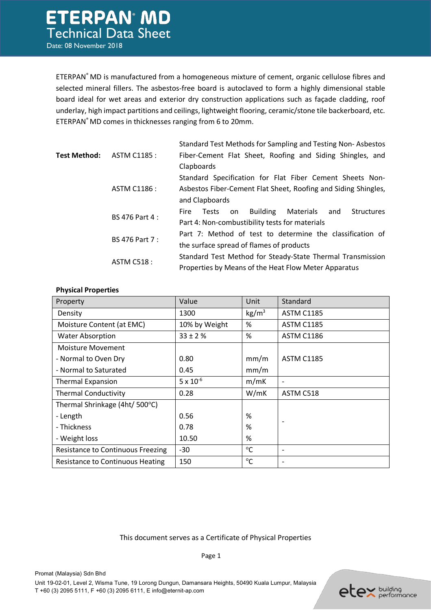ETERPAN® MD is manufactured from a homogeneous mixture of cement, organic cellulose fibres and selected mineral fillers. The asbestos-free board is autoclaved to form a highly dimensional stable board ideal for wet areas and exterior dry construction applications such as façade cladding, roof underlay, high impact partitions and ceilings, lightweight flooring, ceramic/stone tile backerboard, etc. ETERPAN<sup>®</sup> MD comes in thicknesses ranging from 6 to 20mm.

|                       |                       | Standard Test Methods for Sampling and Testing Non-Asbestos                  |
|-----------------------|-----------------------|------------------------------------------------------------------------------|
| <b>Test Method:</b>   | ASTM C1185 :          | Fiber-Cement Flat Sheet, Roofing and Siding Shingles, and                    |
|                       |                       | Clapboards                                                                   |
|                       |                       | Standard Specification for Flat Fiber Cement Sheets Non-                     |
|                       | ASTM C1186 :          | Asbestos Fiber-Cement Flat Sheet, Roofing and Siding Shingles,               |
|                       |                       | and Clapboards                                                               |
| <b>BS 476 Part 4:</b> |                       | <b>Building</b> Materials<br><b>Structures</b><br>Fire<br>and<br>Tests<br>on |
|                       |                       | Part 4: Non-combustibility tests for materials                               |
|                       | <b>BS 476 Part 7:</b> | Part 7: Method of test to determine the classification of                    |
|                       |                       | the surface spread of flames of products                                     |
|                       | <b>ASTM C518:</b>     | Standard Test Method for Steady-State Thermal Transmission                   |
|                       |                       | Properties by Means of the Heat Flow Meter Apparatus                         |

## **Physical Properties**

| Property                                 | Value              | Unit              | Standard          |
|------------------------------------------|--------------------|-------------------|-------------------|
| Density                                  | 1300               | kg/m <sup>3</sup> | <b>ASTM C1185</b> |
| Moisture Content (at EMC)                | 10% by Weight      | %                 | <b>ASTM C1185</b> |
| <b>Water Absorption</b>                  | $33 \pm 2 \%$      | $\%$              | <b>ASTM C1186</b> |
| Moisture Movement                        |                    |                   |                   |
| - Normal to Oven Dry                     | 0.80               | mm/m              | <b>ASTM C1185</b> |
| - Normal to Saturated                    | 0.45               | mm/m              |                   |
| <b>Thermal Expansion</b>                 | $5 \times 10^{-6}$ | m/mK              |                   |
| <b>Thermal Conductivity</b>              | 0.28               | W/mK              | ASTM C518         |
| Thermal Shrinkage (4ht/ 500°C)           |                    |                   |                   |
| - Length                                 | 0.56               | %                 |                   |
| - Thickness                              | 0.78               | %                 |                   |
| - Weight loss                            | 10.50              | %                 |                   |
| <b>Resistance to Continuous Freezing</b> | $-30$              | °C                |                   |
| Resistance to Continuous Heating         | 150                | $^{\circ}$ C      |                   |

## This document serves as a Certificate of Physical Properties

Promat (Malaysia) Sdn Bhd Unit 19-02-01, Level 2, Wisma Tune, 19 Lorong Dungun, Damansara Heights, 50490 Kuala Lumpur, Malaysia T +60 (3) 2095 5111, F +60 (3) 2095 6111, E info@eternit-ap.com



Page 1